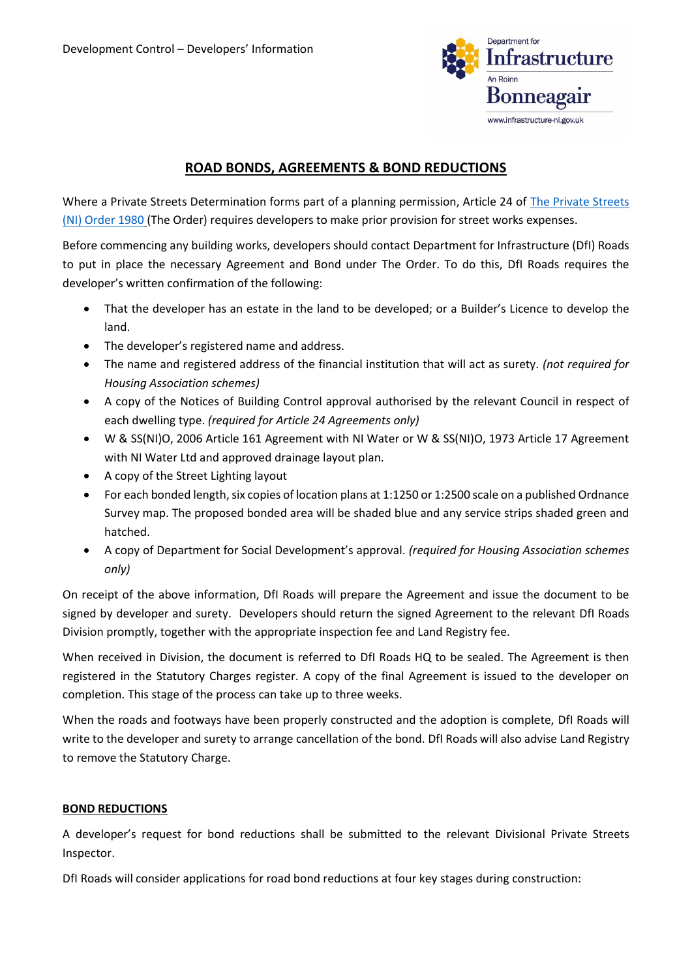

# **ROAD BONDS, AGREEMENTS & BOND REDUCTIONS**

Where a Private Streets Determination forms part of a planning permission, Article 24 of [The Private Streets](http://www.legislation.gov.uk/browse)  [\(NI\) Order 1980](http://www.legislation.gov.uk/browse) (The Order) requires developers to make prior provision for street works expenses.

Before commencing any building works, developers should contact Department for Infrastructure (DfI) Roads to put in place the necessary Agreement and Bond under The Order. To do this, DfI Roads requires the developer's written confirmation of the following:

- That the developer has an estate in the land to be developed; or a Builder's Licence to develop the land.
- The developer's registered name and address.
- The name and registered address of the financial institution that will act as surety. *(not required for Housing Association schemes)*
- A copy of the Notices of Building Control approval authorised by the relevant Council in respect of each dwelling type. *(required for Article 24 Agreements only)*
- W & SS(NI)O, 2006 Article 161 Agreement with NI Water or W & SS(NI)O, 1973 Article 17 Agreement with NI Water Ltd and approved drainage layout plan.
- A copy of the Street Lighting layout
- For each bonded length, six copies of location plans at 1:1250 or 1:2500 scale on a published Ordnance Survey map. The proposed bonded area will be shaded blue and any service strips shaded green and hatched.
- A copy of Department for Social Development's approval. *(required for Housing Association schemes only)*

On receipt of the above information, DfI Roads will prepare the Agreement and issue the document to be signed by developer and surety. Developers should return the signed Agreement to the relevant DfI Roads Division promptly, together with the appropriate inspection fee and Land Registry fee.

When received in Division, the document is referred to DfI Roads HQ to be sealed. The Agreement is then registered in the Statutory Charges register. A copy of the final Agreement is issued to the developer on completion. This stage of the process can take up to three weeks.

When the roads and footways have been properly constructed and the adoption is complete, DfI Roads will write to the developer and surety to arrange cancellation of the bond. DfI Roads will also advise Land Registry to remove the Statutory Charge.

# **BOND REDUCTIONS**

A developer's request for bond reductions shall be submitted to the relevant Divisional Private Streets Inspector.

DfI Roads will consider applications for road bond reductions at four key stages during construction: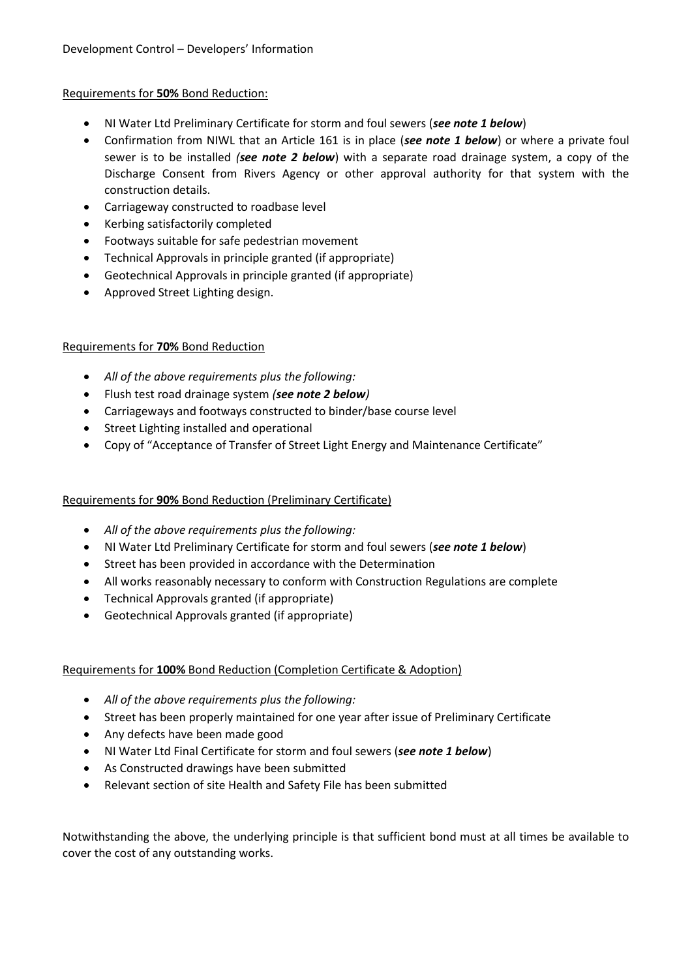### Requirements for **50%** Bond Reduction:

- NI Water Ltd Preliminary Certificate for storm and foul sewers (*see note 1 below*)
- Confirmation from NIWL that an Article 161 is in place (*see note 1 below*) or where a private foul sewer is to be installed *(see note 2 below*) with a separate road drainage system, a copy of the Discharge Consent from Rivers Agency or other approval authority for that system with the construction details.
- Carriageway constructed to roadbase level
- Kerbing satisfactorily completed
- Footways suitable for safe pedestrian movement
- Technical Approvals in principle granted (if appropriate)
- Geotechnical Approvals in principle granted (if appropriate)
- Approved Street Lighting design.

### Requirements for **70%** Bond Reduction

- *All of the above requirements plus the following:*
- Flush test road drainage system *(see note 2 below)*
- Carriageways and footways constructed to binder/base course level
- **•** Street Lighting installed and operational
- Copy of "Acceptance of Transfer of Street Light Energy and Maintenance Certificate"

# Requirements for **90%** Bond Reduction (Preliminary Certificate)

- *All of the above requirements plus the following:*
- NI Water Ltd Preliminary Certificate for storm and foul sewers (*see note 1 below*)
- Street has been provided in accordance with the Determination
- All works reasonably necessary to conform with Construction Regulations are complete
- Technical Approvals granted (if appropriate)
- Geotechnical Approvals granted (if appropriate)

# Requirements for **100%** Bond Reduction (Completion Certificate & Adoption)

- *All of the above requirements plus the following:*
- Street has been properly maintained for one year after issue of Preliminary Certificate
- Any defects have been made good
- NI Water Ltd Final Certificate for storm and foul sewers (*see note 1 below*)
- As Constructed drawings have been submitted
- Relevant section of site Health and Safety File has been submitted

Notwithstanding the above, the underlying principle is that sufficient bond must at all times be available to cover the cost of any outstanding works.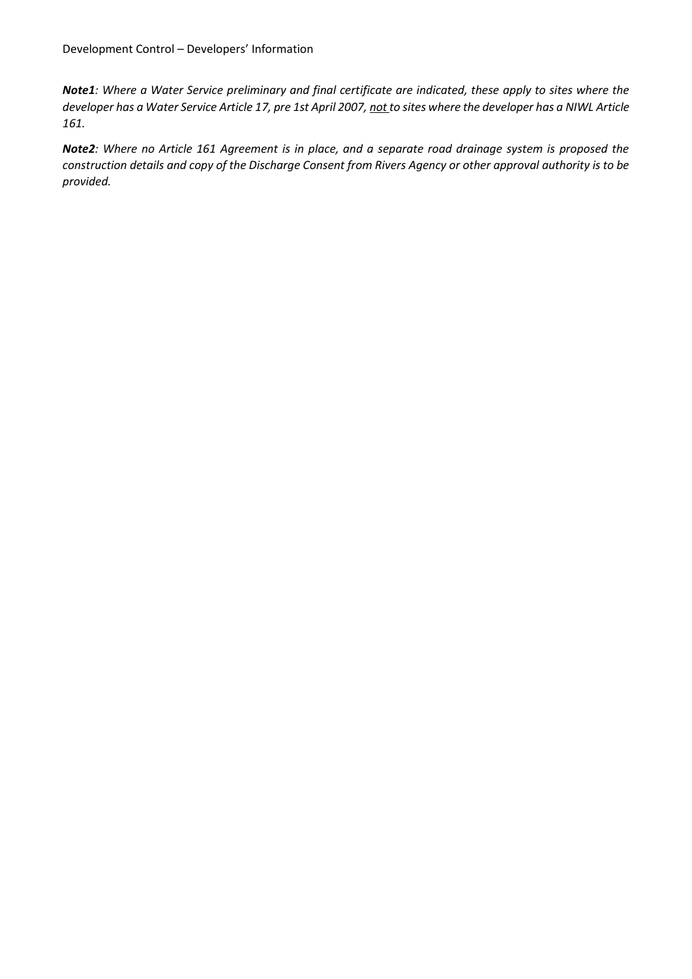*Note1: Where a Water Service preliminary and final certificate are indicated, these apply to sites where the developer has a Water Service Article 17, pre 1st April 2007, not to sites where the developer has a NIWL Article 161.* 

*Note2: Where no Article 161 Agreement is in place, and a separate road drainage system is proposed the construction details and copy of the Discharge Consent from Rivers Agency or other approval authority is to be provided.*